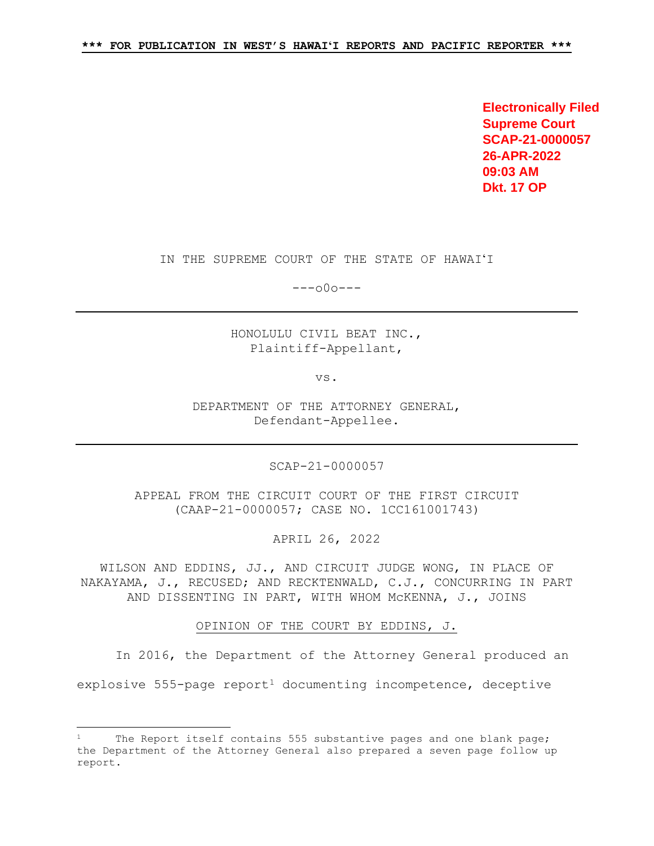**Electronically Filed Supreme Court SCAP-21-0000057 26-APR-2022 09:03 AM Dkt. 17 OP**

# IN THE SUPREME COURT OF THE STATE OF HAWAIʻI

---o0o---

HONOLULU CIVIL BEAT INC., Plaintiff-Appellant,

vs.

DEPARTMENT OF THE ATTORNEY GENERAL, Defendant-Appellee.

SCAP-21-0000057

APPEAL FROM THE CIRCUIT COURT OF THE FIRST CIRCUIT (CAAP-21-0000057; CASE NO. 1CC161001743)

APRIL 26, 2022

WILSON AND EDDINS, JJ., AND CIRCUIT JUDGE WONG, IN PLACE OF NAKAYAMA, J., RECUSED; AND RECKTENWALD, C.J., CONCURRING IN PART AND DISSENTING IN PART, WITH WHOM McKENNA, J., JOINS

OPINION OF THE COURT BY EDDINS, J.

In 2016, the Department of the Attorney General produced an

explosive 555-page report<sup>1</sup> documenting incompetence, deceptive

<span id="page-0-0"></span>Ĩ The Report itself contains 555 substantive pages and one blank page; the Department of the Attorney General also prepared a seven page follow up report.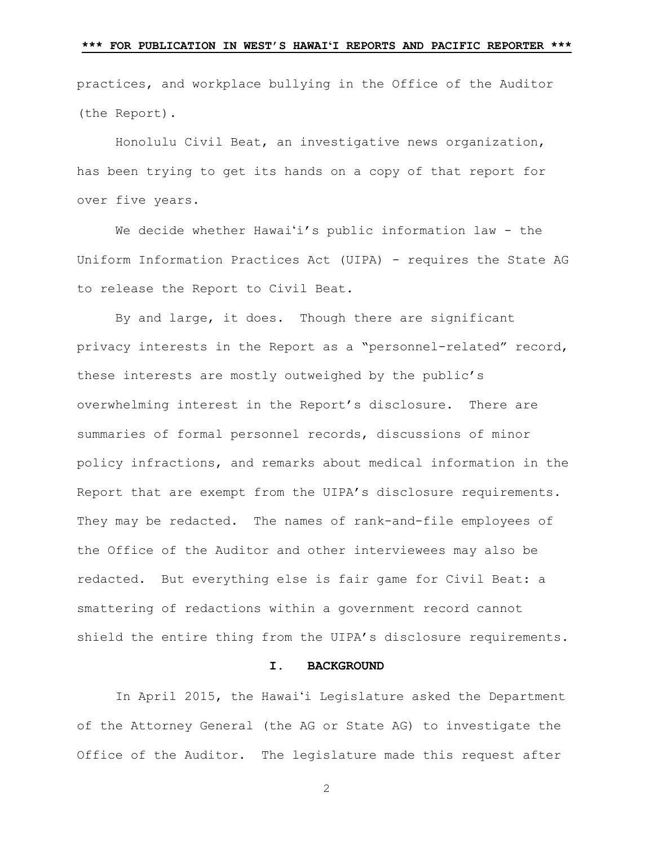practices, and workplace bullying in the Office of the Auditor (the Report).

Honolulu Civil Beat, an investigative news organization, has been trying to get its hands on a copy of that report for over five years.

We decide whether Hawai'i's public information law - the Uniform Information Practices Act (UIPA) - requires the State AG to release the Report to Civil Beat.

By and large, it does. Though there are significant privacy interests in the Report as a "personnel-related" record, these interests are mostly outweighed by the public's overwhelming interest in the Report's disclosure. There are summaries of formal personnel records, discussions of minor policy infractions, and remarks about medical information in the Report that are exempt from the UIPA's disclosure requirements. They may be redacted. The names of rank-and-file employees of the Office of the Auditor and other interviewees may also be redacted. But everything else is fair game for Civil Beat: a smattering of redactions within a government record cannot shield the entire thing from the UIPA's disclosure requirements.

### **I. BACKGROUND**

In April 2015, the Hawai'i Legislature asked the Department of the Attorney General (the AG or State AG) to investigate the Office of the Auditor. The legislature made this request after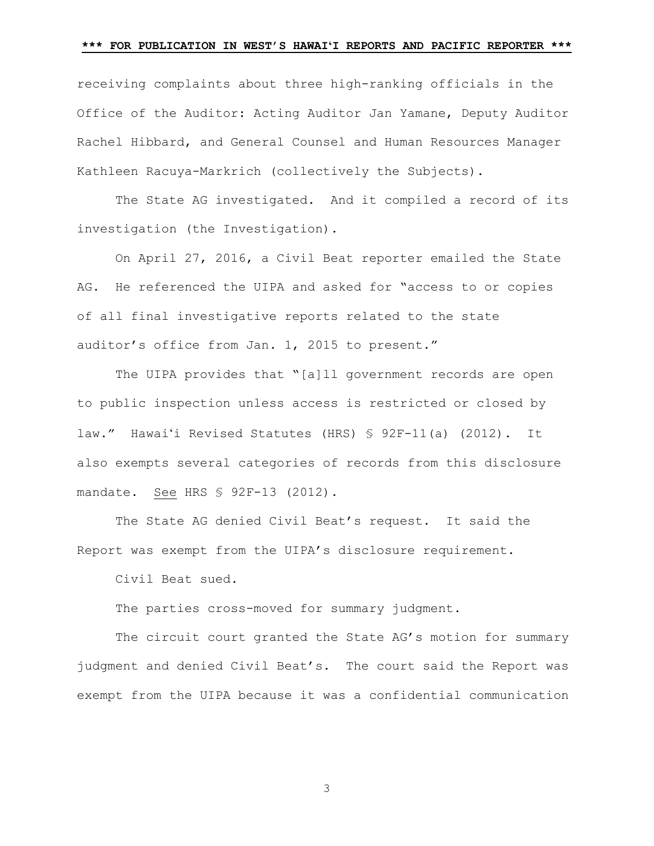receiving complaints about three high-ranking officials in the Office of the Auditor: Acting Auditor Jan Yamane, Deputy Auditor Rachel Hibbard, and General Counsel and Human Resources Manager Kathleen Racuya-Markrich (collectively the Subjects).

The State AG investigated. And it compiled a record of its investigation (the Investigation).

On April 27, 2016, a Civil Beat reporter emailed the State AG. He referenced the UIPA and asked for "access to or copies of all final investigative reports related to the state auditor's office from Jan. 1, 2015 to present."

The UIPA provides that "[a]ll government records are open to public inspection unless access is restricted or closed by law." Hawai'i Revised Statutes (HRS) § 92F-11(a) (2012). It also exempts several categories of records from this disclosure mandate. See HRS § 92F-13 (2012).

The State AG denied Civil Beat's request.It said the Report was exempt from the UIPA's disclosure requirement.

Civil Beat sued.

The parties cross-moved for summary judgment.

The circuit court granted the State AG's motion for summary judgment and denied Civil Beat's. The court said the Report was exempt from the UIPA because it was a confidential communication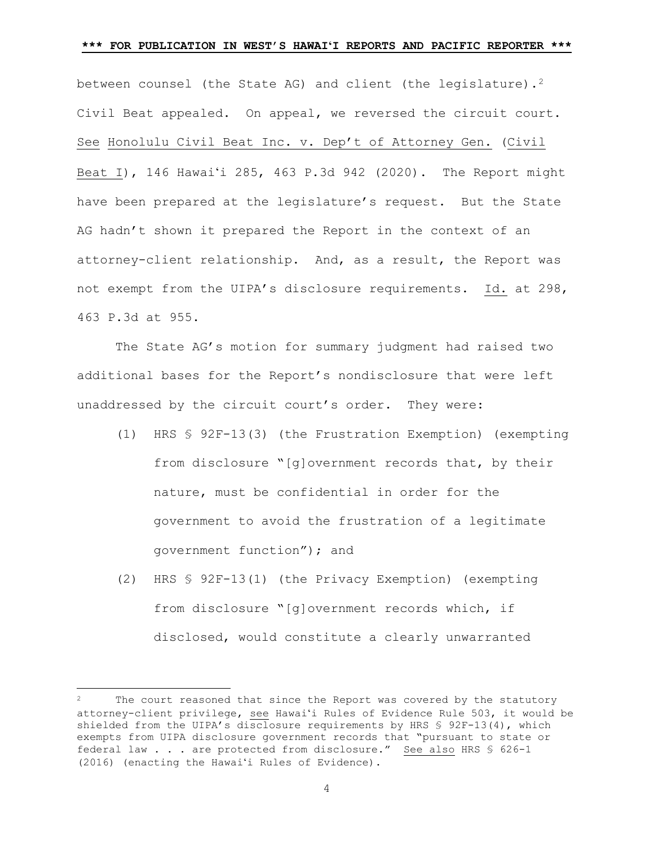between counsel (the State AG) and client (the legislature).<sup>2</sup> Civil Beat appealed. On appeal, we reversed the circuit court. See Honolulu Civil Beat Inc. v. Dep't of Attorney Gen. (Civil Beat I), 146 Hawai'i 285, 463 P.3d 942 (2020). The Report might have been prepared at the legislature's request. But the State AG hadn't shown it prepared the Report in the context of an attorney-client relationship. And, as a result, the Report was not exempt from the UIPA's disclosure requirements. Id. at 298, 463 P.3d at 955.

The State AG's motion for summary judgment had raised two additional bases for the Report's nondisclosure that were left unaddressed by the circuit court's order. They were:

- (1) HRS § 92F-13(3) (the Frustration Exemption) (exempting from disclosure "[g]overnment records that, by their nature, must be confidential in order for the government to avoid the frustration of a legitimate government function"); and
- (2) HRS § 92F-13(1) (the Privacy Exemption) (exempting from disclosure "[g]overnment records which, if disclosed, would constitute a clearly unwarranted

Ĩ

<span id="page-3-0"></span>The court reasoned that since the Report was covered by the statutory attorney-client privilege, see Hawaiʻi Rules of Evidence Rule 503, it would be shielded from the UIPA's disclosure requirements by HRS § 92F-13(4), which exempts from UIPA disclosure government records that "pursuant to state or federal law . . . are protected from disclosure." See also HRS § 626-1 (2016) (enacting the Hawaiʻi Rules of Evidence).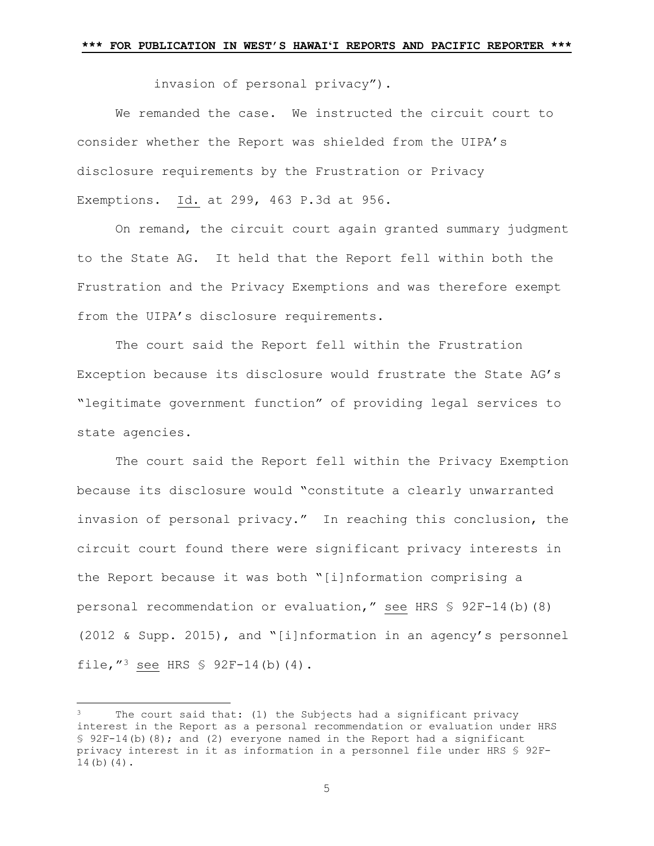invasion of personal privacy").

We remanded the case. We instructed the circuit court to consider whether the Report was shielded from the UIPA's disclosure requirements by the Frustration or Privacy Exemptions. Id. at 299, 463 P.3d at 956.

On remand, the circuit court again granted summary judgment to the State AG. It held that the Report fell within both the Frustration and the Privacy Exemptions and was therefore exempt from the UIPA's disclosure requirements.

The court said the Report fell within the Frustration Exception because its disclosure would frustrate the State AG's "legitimate government function" of providing legal services to state agencies.

The court said the Report fell within the Privacy Exemption because its disclosure would "constitute a clearly unwarranted invasion of personal privacy." In reaching this conclusion, the circuit court found there were significant privacy interests in the Report because it was both "[i]nformation comprising a personal recommendation or evaluation," see HRS § 92F-14(b)(8) (2012 & Supp. 2015), and "[i]nformation in an agency's personnel file,  $^{\prime\prime}$  see HRS § 92F-14(b)(4).

Ĩ

<span id="page-4-0"></span>The court said that: (1) the Subjects had a significant privacy interest in the Report as a personal recommendation or evaluation under HRS § 92F-14(b)(8); and (2) everyone named in the Report had a significant privacy interest in it as information in a personnel file under HRS § 92F-14(b)(4).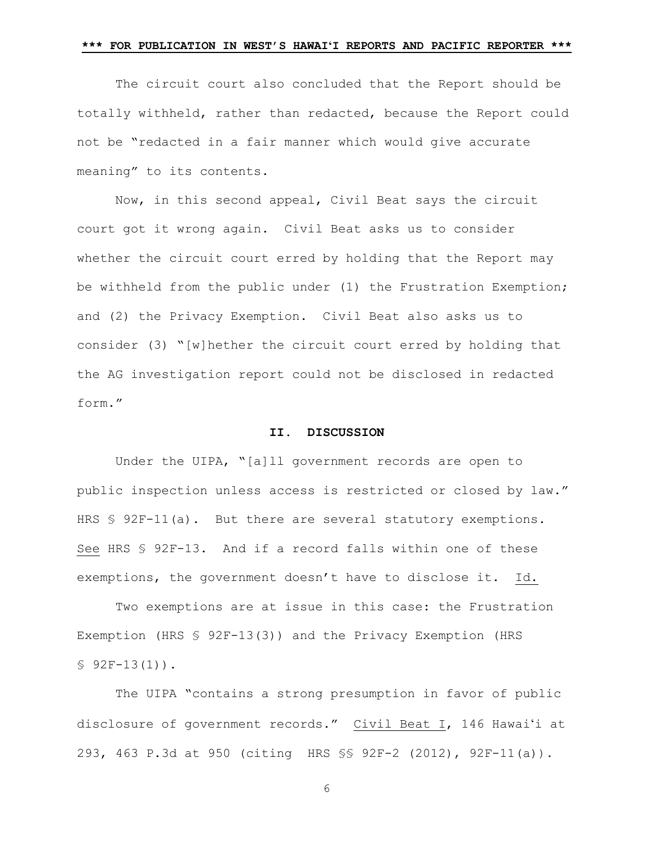The circuit court also concluded that the Report should be totally withheld, rather than redacted, because the Report could not be "redacted in a fair manner which would give accurate meaning" to its contents.

Now, in this second appeal, Civil Beat says the circuit court got it wrong again. Civil Beat asks us to consider whether the circuit court erred by holding that the Report may be withheld from the public under (1) the Frustration Exemption; and (2) the Privacy Exemption. Civil Beat also asks us to consider (3) "[w]hether the circuit court erred by holding that the AG investigation report could not be disclosed in redacted form."

### **II. DISCUSSION**

Under the UIPA, "[a]ll government records are open to public inspection unless access is restricted or closed by law." HRS § 92F-11(a). But there are several statutory exemptions. See HRS § 92F-13. And if a record falls within one of these exemptions, the government doesn't have to disclose it. Id.

Two exemptions are at issue in this case: the Frustration Exemption (HRS § 92F-13(3)) and the Privacy Exemption (HRS  $$92F-13(1)$ .

The UIPA "contains a strong presumption in favor of public disclosure of government records." Civil Beat I, 146 Hawai'i at 293, 463 P.3d at 950 (citing HRS §§ 92F-2 (2012), 92F-11(a)).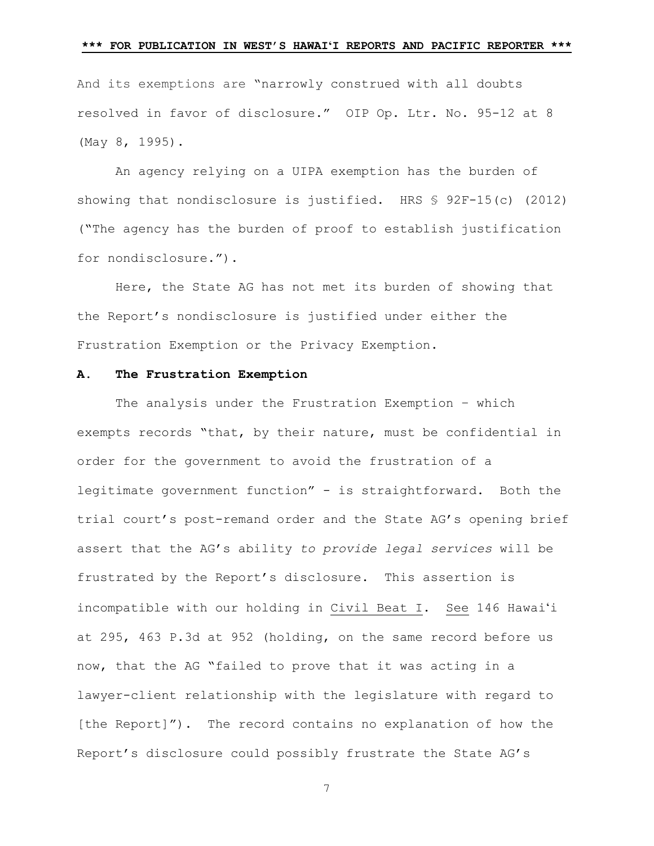And its exemptions are "narrowly construed with all doubts resolved in favor of disclosure." OIP Op. Ltr. No. 95-12 at 8 (May 8, 1995).

An agency relying on a UIPA exemption has the burden of showing that nondisclosure is justified. HRS § 92F-15(c) (2012) ("The agency has the burden of proof to establish justification for nondisclosure.").

Here, the State AG has not met its burden of showing that the Report's nondisclosure is justified under either the Frustration Exemption or the Privacy Exemption.

### **A. The Frustration Exemption**

The analysis under the Frustration Exemption – which exempts records "that, by their nature, must be confidential in order for the government to avoid the frustration of a legitimate government function" - is straightforward. Both the trial court's post-remand order and the State AG's opening brief assert that the AG's ability *to provide legal services* will be frustrated by the Report's disclosure. This assertion is incompatible with our holding in Civil Beat I. See 146 Hawai'i at 295, 463 P.3d at 952 (holding, on the same record before us now, that the AG "failed to prove that it was acting in a lawyer-client relationship with the legislature with regard to [the Report]"). The record contains no explanation of how the Report's disclosure could possibly frustrate the State AG's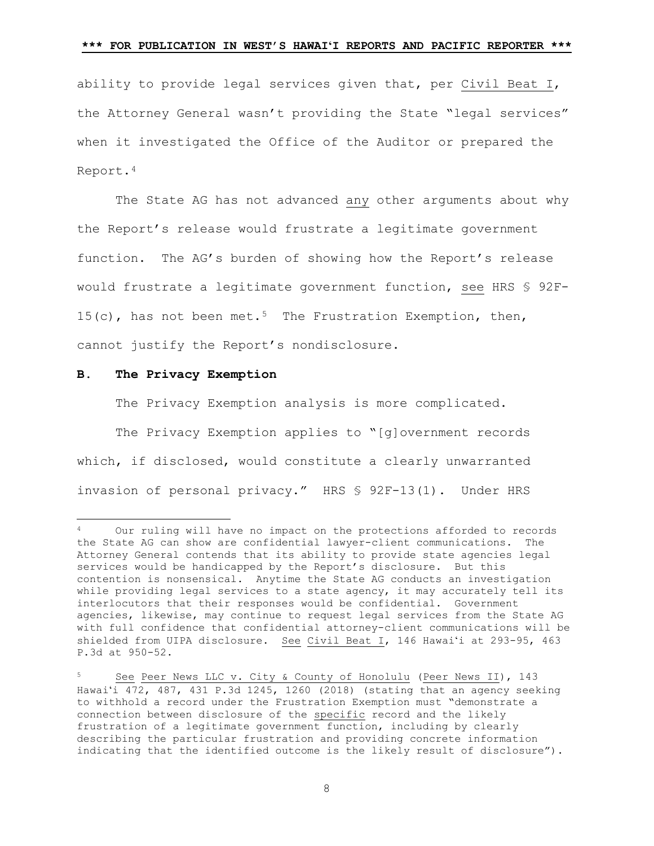ability to provide legal services given that, per Civil Beat I, the Attorney General wasn't providing the State "legal services" when it investigated the Office of the Auditor or prepared the Report.[4](#page-7-0)

The State AG has not advanced any other arguments about why the Report's release would frustrate a legitimate government function. The AG's burden of showing how the Report's release would frustrate a legitimate government function, see HRS § 92F-1[5](#page-7-1)(c), has not been met.<sup>5</sup> The Frustration Exemption, then, cannot justify the Report's nondisclosure.

#### **B. The Privacy Exemption**

Ξ

The Privacy Exemption analysis is more complicated.

The Privacy Exemption applies to "[q]overnment records which, if disclosed, would constitute a clearly unwarranted invasion of personal privacy." HRS § 92F-13(1). Under HRS

<span id="page-7-0"></span>Our ruling will have no impact on the protections afforded to records the State AG can show are confidential lawyer-client communications. The Attorney General contends that its ability to provide state agencies legal services would be handicapped by the Report's disclosure. But this contention is nonsensical. Anytime the State AG conducts an investigation while providing legal services to a state agency, it may accurately tell its interlocutors that their responses would be confidential. Government agencies, likewise, may continue to request legal services from the State AG with full confidence that confidential attorney-client communications will be shielded from UIPA disclosure. See Civil Beat I, 146 Hawai'i at 293-95, 463 P.3d at 950-52.

<span id="page-7-1"></span><sup>5</sup> See Peer News LLC v. City & County of Honolulu (Peer News II), 143 Hawai'i 472, 487, 431 P.3d 1245, 1260 (2018) (stating that an agency seeking to withhold a record under the Frustration Exemption must "demonstrate a connection between disclosure of the specific record and the likely frustration of a legitimate government function, including by clearly describing the particular frustration and providing concrete information indicating that the identified outcome is the likely result of disclosure").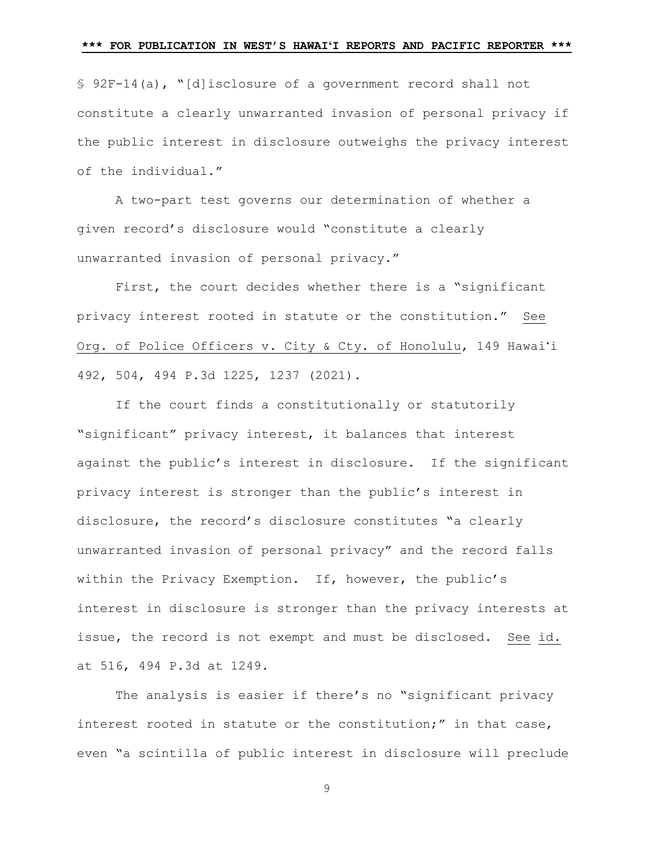§ 92F-14(a), "[d]isclosure of a government record shall not constitute a clearly unwarranted invasion of personal privacy if the public interest in disclosure outweighs the privacy interest of the individual."

A two-part test governs our determination of whether a given record's disclosure would "constitute a clearly unwarranted invasion of personal privacy."

First, the court decides whether there is a "significant privacy interest rooted in statute or the constitution." See Org. of Police Officers v. City & Cty. of Honolulu, 149 Hawai'i 492, 504, 494 P.3d 1225, 1237 (2021).

If the court finds a constitutionally or statutorily "significant" privacy interest, it balances that interest against the public's interest in disclosure. If the significant privacy interest is stronger than the public's interest in disclosure, the record's disclosure constitutes "a clearly unwarranted invasion of personal privacy" and the record falls within the Privacy Exemption. If, however, the public's interest in disclosure is stronger than the privacy interests at issue, the record is not exempt and must be disclosed. See id. at 516, 494 P.3d at 1249.

The analysis is easier if there's no "significant privacy interest rooted in statute or the constitution;" in that case, even "a scintilla of public interest in disclosure will preclude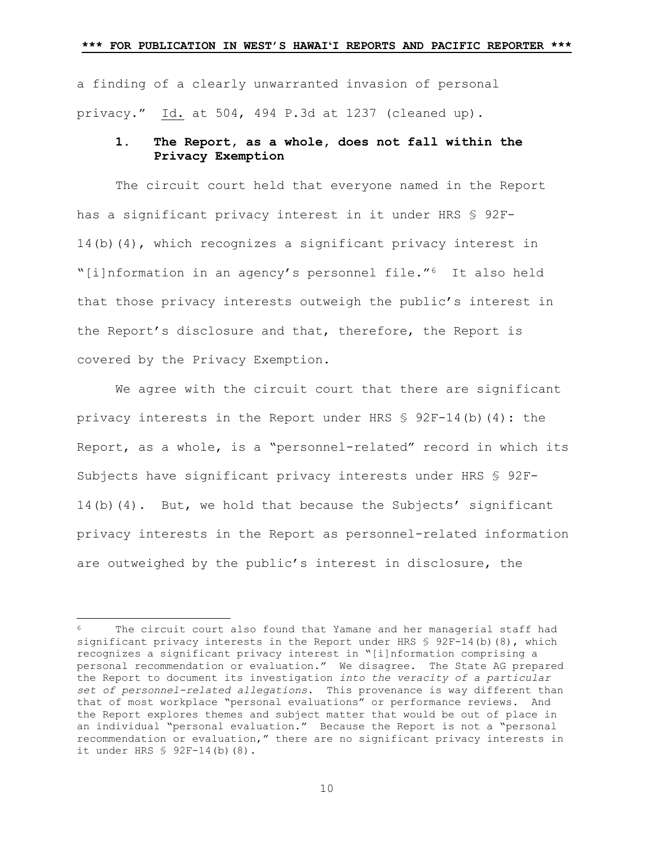a finding of a clearly unwarranted invasion of personal privacy." Id. at 504, 494 P.3d at 1237 (cleaned up).

# **1. The Report, as a whole, does not fall within the Privacy Exemption**

The circuit court held that everyone named in the Report has a significant privacy interest in it under HRS § 92F-14(b)(4), which recognizes a significant privacy interest in "[i]nformation in an agency's personnel file."[6](#page-9-0) It also held that those privacy interests outweigh the public's interest in the Report's disclosure and that, therefore, the Report is covered by the Privacy Exemption.

We agree with the circuit court that there are significant privacy interests in the Report under HRS  $\frac{1}{5}$  92F-14(b)(4): the Report, as a whole, is a "personnel-related" record in which its Subjects have significant privacy interests under HRS § 92F-14(b)(4). But, we hold that because the Subjects' significant privacy interests in the Report as personnel-related information are outweighed by the public's interest in disclosure, the

Ξ

<span id="page-9-0"></span>The circuit court also found that Yamane and her managerial staff had significant privacy interests in the Report under HRS  $$ 92F-14(b)(8)$ , which recognizes a significant privacy interest in "[i]nformation comprising a personal recommendation or evaluation." We disagree. The State AG prepared the Report to document its investigation *into the veracity of a particular set of personnel-related allegations*. This provenance is way different than that of most workplace "personal evaluations" or performance reviews. And the Report explores themes and subject matter that would be out of place in an individual "personal evaluation." Because the Report is not a "personal recommendation or evaluation," there are no significant privacy interests in it under HRS § 92F-14(b)(8).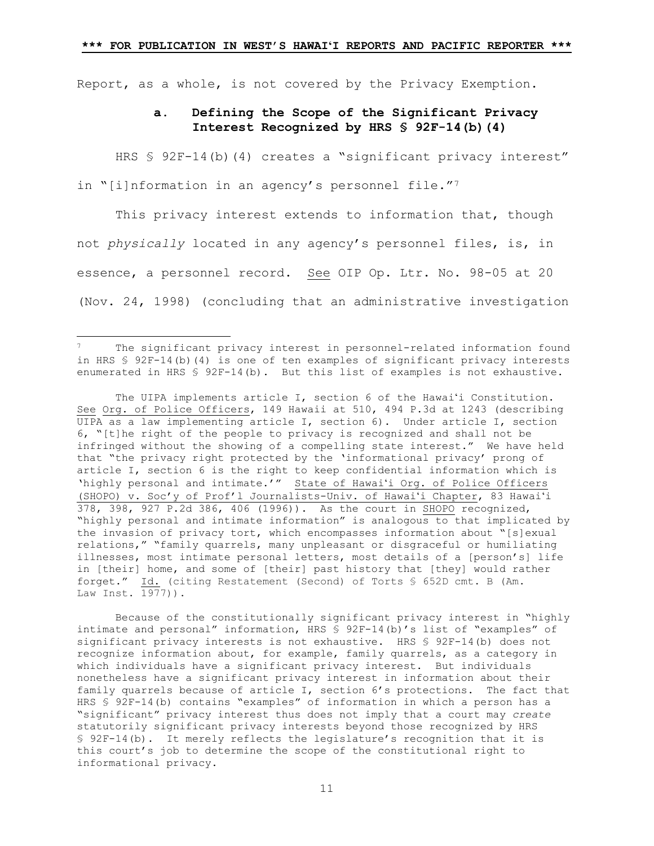Report, as a whole, is not covered by the Privacy Exemption.

# **a. Defining the Scope of the Significant Privacy Interest Recognized by HRS § 92F-14(b)(4)**

HRS § 92F-14(b)(4) creates a "significant privacy interest" in "[i]nformation in an agency's personnel file."<sup>[7](#page-10-0)</sup>

This privacy interest extends to information that, though not *physically* located in any agency's personnel files, is, in essence, a personnel record. See OIP Op. Ltr. No. 98-05 at 20 (Nov. 24, 1998) (concluding that an administrative investigation

Ξ

The UIPA implements article I, section 6 of the Hawai'i Constitution. See Org. of Police Officers, 149 Hawaii at 510, 494 P.3d at 1243 (describing UIPA as a law implementing article I, section 6). Under article I, section 6, "[t]he right of the people to privacy is recognized and shall not be infringed without the showing of a compelling state interest." We have held that "the privacy right protected by the 'informational privacy' prong of article I, section 6 is the right to keep confidential information which is 'highly personal and intimate.'" State of Hawai'i Org. of Police Officers (SHOPO) v. Soc'y of Prof'l Journalists-Univ. of Hawai'i Chapter, 83 Hawai'i 378, 398, 927 P.2d 386, 406 (1996)). As the court in SHOPO recognized, "highly personal and intimate information" is analogous to that implicated by the invasion of privacy tort, which encompasses information about "[s]exual relations," "family quarrels, many unpleasant or disgraceful or humiliating illnesses, most intimate personal letters, most details of a [person's] life in [their] home, and some of [their] past history that [they] would rather forget." Id. (citing Restatement (Second) of Torts § 652D cmt. B (Am. Law Inst. 1977)).

Because of the constitutionally significant privacy interest in "highly intimate and personal" information, HRS § 92F-14(b)'s list of "examples" of significant privacy interests is not exhaustive. HRS § 92F-14(b) does not recognize information about, for example, family quarrels, as a category in which individuals have a significant privacy interest. But individuals nonetheless have a significant privacy interest in information about their family quarrels because of article I, section 6's protections. The fact that HRS § 92F-14(b) contains "examples" of information in which a person has a "significant" privacy interest thus does not imply that a court may *create* statutorily significant privacy interests beyond those recognized by HRS § 92F-14(b). It merely reflects the legislature's recognition that it is this court's job to determine the scope of the constitutional right to informational privacy.

<span id="page-10-0"></span><sup>7</sup> The significant privacy interest in personnel-related information found in HRS § 92F-14(b)(4) is one of ten examples of significant privacy interests enumerated in HRS § 92F-14(b). But this list of examples is not exhaustive.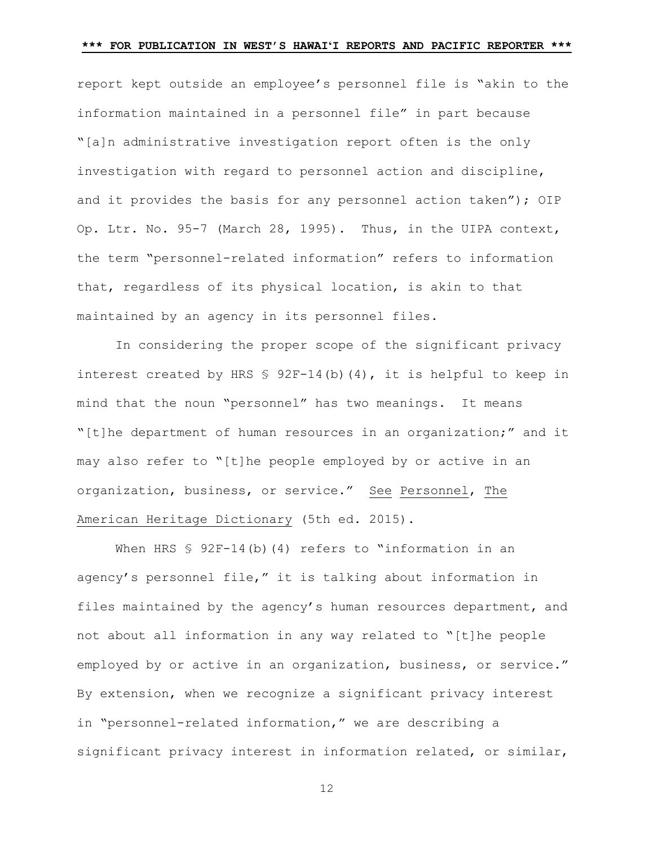report kept outside an employee's personnel file is "akin to the information maintained in a personnel file" in part because "[a]n administrative investigation report often is the only investigation with regard to personnel action and discipline, and it provides the basis for any personnel action taken"); OIP Op. Ltr. No. 95-7 (March 28, 1995). Thus, in the UIPA context, the term "personnel-related information" refers to information that, regardless of its physical location, is akin to that maintained by an agency in its personnel files.

In considering the proper scope of the significant privacy interest created by HRS  $\frac{1}{2}$  92F-14(b)(4), it is helpful to keep in mind that the noun "personnel" has two meanings. It means "[t]he department of human resources in an organization;" and it may also refer to "[t]he people employed by or active in an organization, business, or service." See Personnel, The American Heritage Dictionary (5th ed. 2015).

When HRS  $$ 92F-14(b)(4)$  refers to "information in an agency's personnel file," it is talking about information in files maintained by the agency's human resources department, and not about all information in any way related to "[t]he people employed by or active in an organization, business, or service." By extension, when we recognize a significant privacy interest in "personnel-related information," we are describing a significant privacy interest in information related, or similar,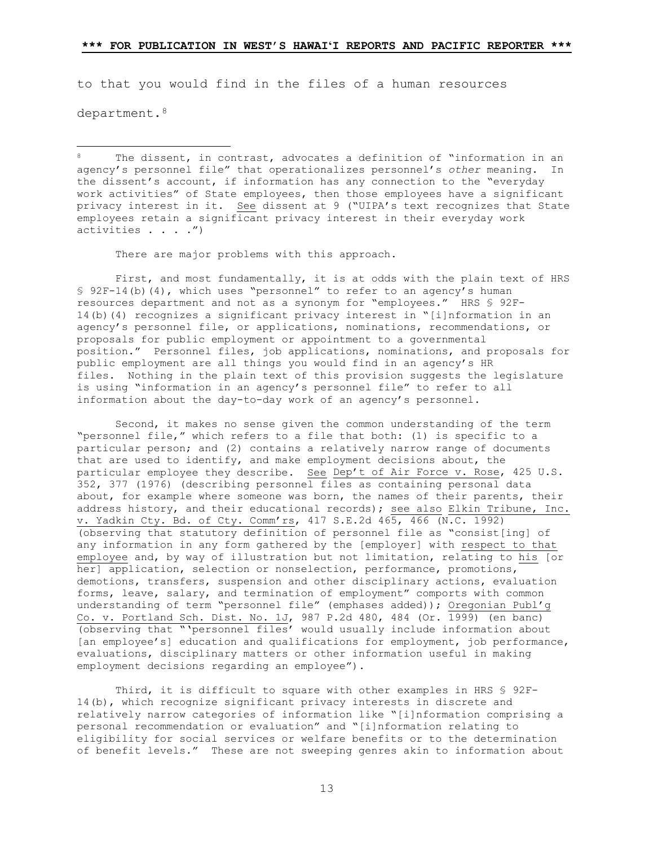to that you would find in the files of a human resources

department.<sup>[8](#page-12-0)</sup>

<span id="page-12-0"></span>Ĩ The dissent, in contrast, advocates a definition of "information in an agency's personnel file" that operationalizes personnel's *other* meaning. In the dissent's account, if information has any connection to the "everyday work activities" of State employees, then those employees have a significant privacy interest in it. See dissent at 9 ("UIPA's text recognizes that State employees retain a significant privacy interest in their everyday work activities . . . .")

There are major problems with this approach.

First, and most fundamentally, it is at odds with the plain text of HRS § 92F-14(b)(4), which uses "personnel" to refer to an agency's human resources department and not as a synonym for "employees." HRS § 92F-14(b)(4) recognizes a significant privacy interest in "[i]nformation in an agency's personnel file, or applications, nominations, recommendations, or proposals for public employment or appointment to a governmental position." Personnel files, job applications, nominations, and proposals for public employment are all things you would find in an agency's HR files. Nothing in the plain text of this provision suggests the legislature is using "information in an agency's personnel file" to refer to all information about the day-to-day work of an agency's personnel.

Second, it makes no sense given the common understanding of the term "personnel file," which refers to a file that both: (1) is specific to a particular person; and (2) contains a relatively narrow range of documents that are used to identify, and make employment decisions about, the particular employee they describe. See Dep't of Air Force v. Rose, 425 U.S. 352, 377 (1976) (describing personnel files as containing personal data about, for example where someone was born, the names of their parents, their address history, and their educational records); see also Elkin Tribune, Inc. v. Yadkin Cty. Bd. of Cty. Comm'rs, 417 S.E.2d 465, 466 (N.C. 1992) (observing that statutory definition of personnel file as "consist[ing] of any information in any form gathered by the [employer] with respect to that employee and, by way of illustration but not limitation, relating to his [or her] application, selection or nonselection, performance, promotions, demotions, transfers, suspension and other disciplinary actions, evaluation forms, leave, salary, and termination of employment" comports with common understanding of term "personnel file" (emphases added)); Oregonian Publ'g Co. v. Portland Sch. Dist. No. 1J, 987 P.2d 480, 484 (Or. 1999) (en banc) (observing that "'personnel files' would usually include information about [an employee's] education and qualifications for employment, job performance, evaluations, disciplinary matters or other information useful in making employment decisions regarding an employee").

Third, it is difficult to square with other examples in HRS § 92F-14(b), which recognize significant privacy interests in discrete and relatively narrow categories of information like "[i]nformation comprising a personal recommendation or evaluation" and "[i]nformation relating to eligibility for social services or welfare benefits or to the determination of benefit levels." These are not sweeping genres akin to information about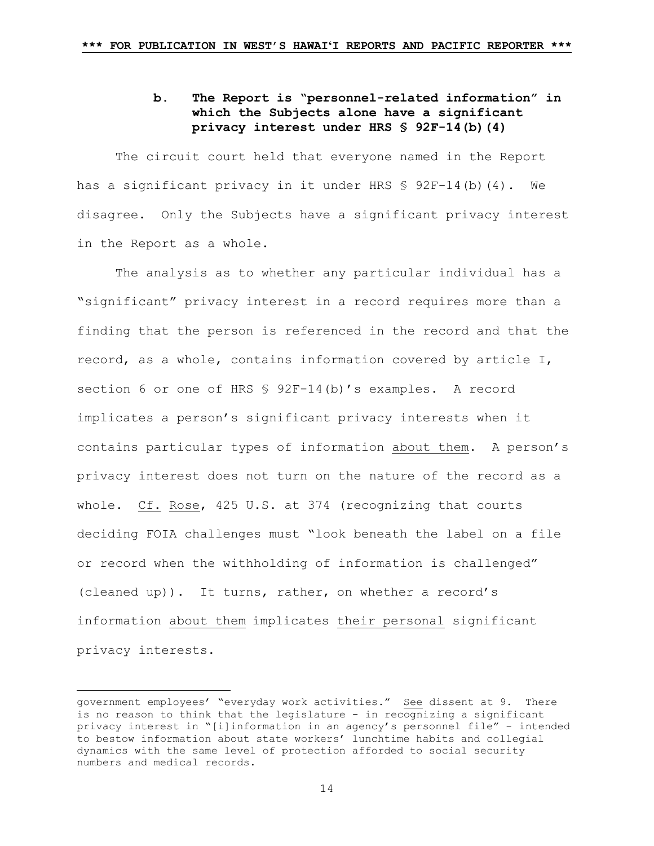# **b. The Report is "personnel-related information" in which the Subjects alone have a significant privacy interest under HRS § 92F-14(b)(4)**

The circuit court held that everyone named in the Report has a significant privacy in it under HRS § 92F-14(b)(4). We disagree. Only the Subjects have a significant privacy interest in the Report as a whole.

The analysis as to whether any particular individual has a "significant" privacy interest in a record requires more than a finding that the person is referenced in the record and that the record, as a whole, contains information covered by article I, section 6 or one of HRS § 92F-14(b)'s examples. A record implicates a person's significant privacy interests when it contains particular types of information about them. A person's privacy interest does not turn on the nature of the record as a whole. Cf. Rose, 425 U.S. at 374 (recognizing that courts deciding FOIA challenges must "look beneath the label on a file or record when the withholding of information is challenged" (cleaned up)). It turns, rather, on whether a record's information about them implicates their personal significant privacy interests.

Ξ

government employees $^{\prime}$  "everyday work activities." <u>See</u> dissent at 9. There is no reason to think that the legislature - in recognizing a significant privacy interest in "[i]information in an agency's personnel file" - intended to bestow information about state workers' lunchtime habits and collegial dynamics with the same level of protection afforded to social security numbers and medical records.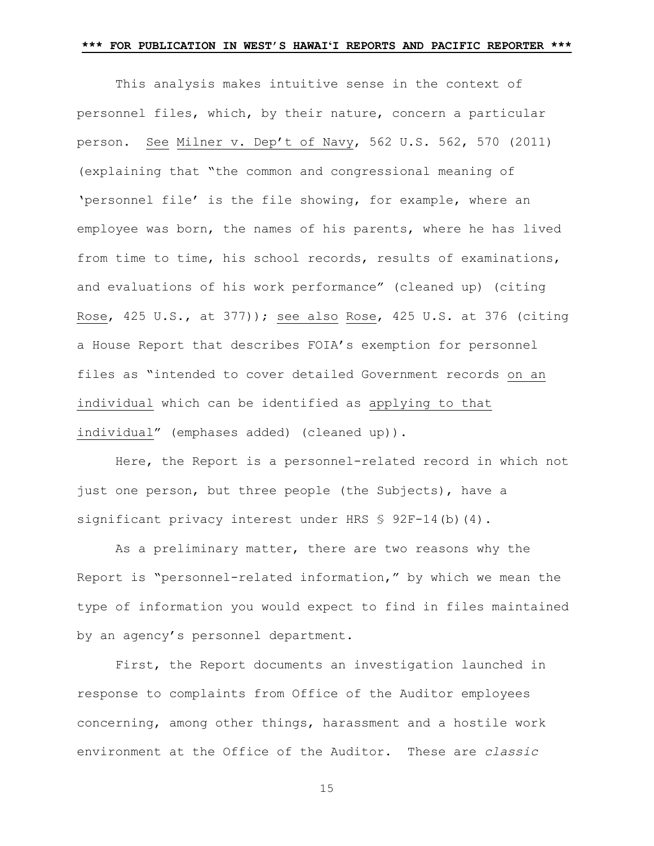This analysis makes intuitive sense in the context of personnel files, which, by their nature, concern a particular person. See Milner v. Dep't of Navy, 562 U.S. 562, 570 (2011) (explaining that "the common and congressional meaning of 'personnel file' is the file showing, for example, where an employee was born, the names of his parents, where he has lived from time to time, his school records, results of examinations, and evaluations of his work performance" (cleaned up) (citing Rose, 425 U.S., at 377)); see also Rose, 425 U.S. at 376 (citing a House Report that describes FOIA's exemption for personnel files as "intended to cover detailed Government records on an individual which can be identified as applying to that individual" (emphases added) (cleaned up)).

Here, the Report is a personnel-related record in which not just one person, but three people (the Subjects), have a significant privacy interest under HRS \$ 92F-14(b)(4).

As a preliminary matter, there are two reasons why the Report is "personnel-related information," by which we mean the type of information you would expect to find in files maintained by an agency's personnel department.

First, the Report documents an investigation launched in response to complaints from Office of the Auditor employees concerning, among other things, harassment and a hostile work environment at the Office of the Auditor. These are *classic*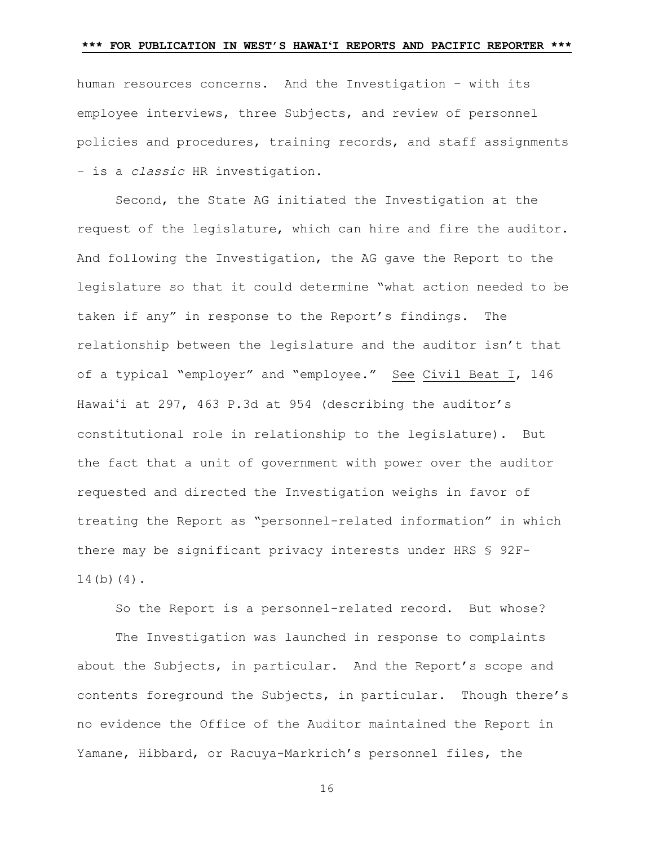human resources concerns. And the Investigation – with its employee interviews, three Subjects, and review of personnel policies and procedures, training records, and staff assignments – is a *classic* HR investigation.

Second, the State AG initiated the Investigation at the request of the legislature, which can hire and fire the auditor. And following the Investigation, the AG gave the Report to the legislature so that it could determine "what action needed to be taken if any" in response to the Report's findings. The relationship between the legislature and the auditor isn't that of a typical "employer" and "employee." See Civil Beat I, 146 Hawai'i at 297, 463 P.3d at 954 (describing the auditor's constitutional role in relationship to the legislature). But the fact that a unit of government with power over the auditor requested and directed the Investigation weighs in favor of treating the Report as "personnel-related information" in which there may be significant privacy interests under HRS § 92F-14(b)(4).

So the Report is a personnel-related record. But whose?

The Investigation was launched in response to complaints about the Subjects, in particular. And the Report's scope and contents foreground the Subjects, in particular. Though there's no evidence the Office of the Auditor maintained the Report in Yamane, Hibbard, or Racuya-Markrich's personnel files, the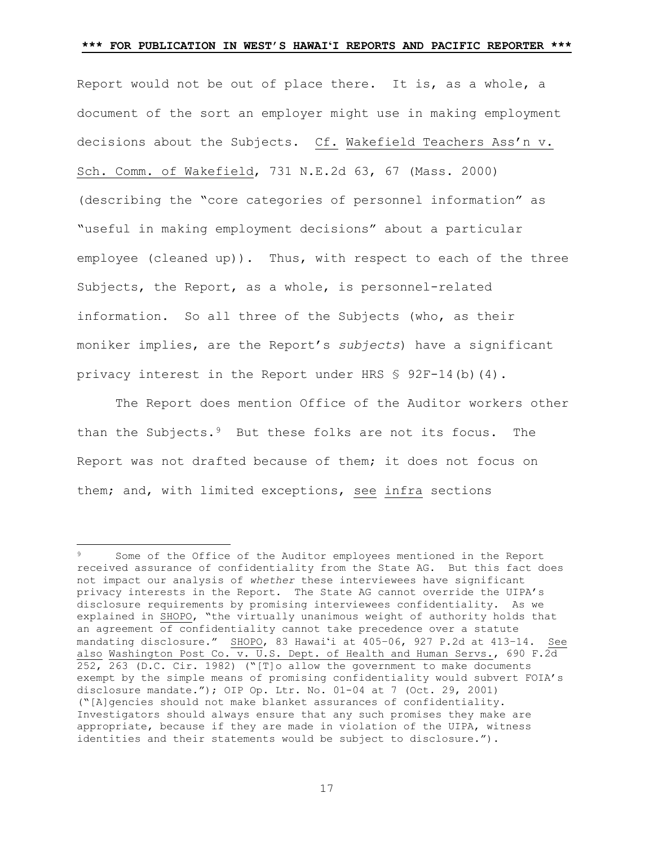Report would not be out of place there. It is, as a whole, a document of the sort an employer might use in making employment decisions about the Subjects. Cf. Wakefield Teachers Ass'n v. Sch. Comm. of Wakefield, 731 N.E.2d 63, 67 (Mass. 2000) (describing the "core categories of personnel information" as "useful in making employment decisions" about a particular employee (cleaned up)). Thus, with respect to each of the three Subjects, the Report, as a whole, is personnel-related information. So all three of the Subjects (who, as their moniker implies, are the Report's *subjects*) have a significant privacy interest in the Report under HRS  $$ 92F-14(b)(4)$ .

The Report does mention Office of the Auditor workers other than the Subjects.[9](#page-16-0) But these folks are not its focus. The Report was not drafted because of them; it does not focus on them; and, with limited exceptions, see infra sections

<span id="page-16-0"></span>Ξ Some of the Office of the Auditor employees mentioned in the Report received assurance of confidentiality from the State AG. But this fact does not impact our analysis of *whether* these interviewees have significant privacy interests in the Report. The State AG cannot override the UIPA's disclosure requirements by promising interviewees confidentiality. As we explained in SHOPO, "the virtually unanimous weight of authority holds that an agreement of confidentiality cannot take precedence over a statute mandating disclosure." SHOPO, 83 Hawai'i at 405–06, 927 P.2d at 413–14. See also Washington Post Co. v. U.S. Dept. of Health and Human Servs., 690 F.2d 252, 263 (D.C. Cir. 1982) ("[T]o allow the government to make documents exempt by the simple means of promising confidentiality would subvert FOIA's disclosure mandate."); OIP Op. Ltr. No.  $01-04$  at 7 (Oct. 29, 2001) ("[A]gencies should not make blanket assurances of confidentiality. Investigators should always ensure that any such promises they make are appropriate, because if they are made in violation of the UIPA, witness identities and their statements would be subject to disclosure.").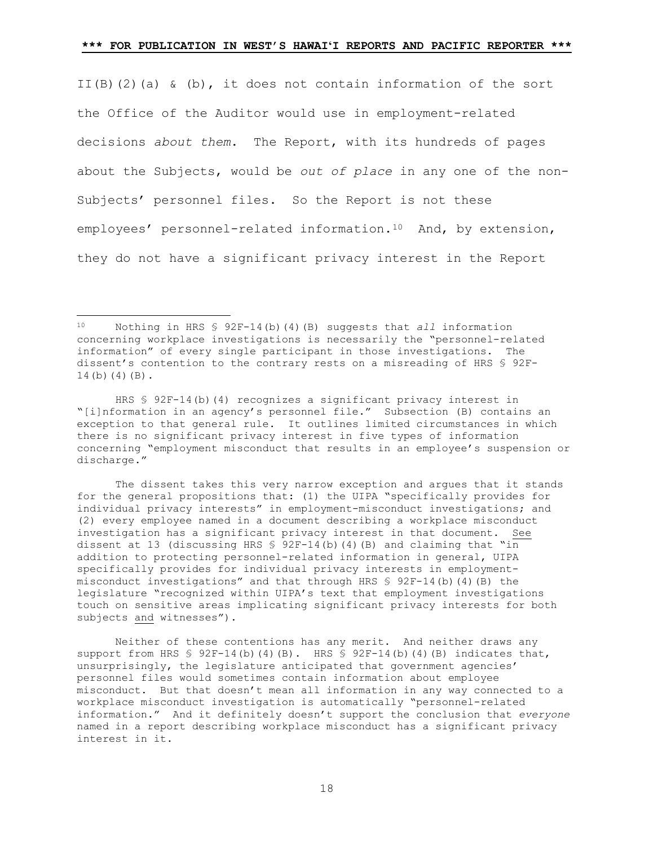II(B)(2)(a) & (b), it does not contain information of the sort the Office of the Auditor would use in employment-related decisions *about them*. The Report, with its hundreds of pages about the Subjects, would be *out of place* in any one of the non-Subjects' personnel files. So the Report is not these employees' personnel-related information.<sup>[10](#page-17-0)</sup> And, by extension, they do not have a significant privacy interest in the Report

The dissent takes this very narrow exception and argues that it stands for the general propositions that: (1) the UIPA "specifically provides for individual privacy interests" in employment-misconduct investigations; and (2) every employee named in a document describing a workplace misconduct investigation has a significant privacy interest in that document. See dissent at 13 (discussing HRS  $\frac{6}{5}$  92F-14(b)(4)(B) and claiming that "in addition to protecting personnel-related information in general, UIPA specifically provides for individual privacy interests in employmentmisconduct investigations" and that through HRS § 92F-14(b)(4)(B) the legislature "recognized within UIPA's text that employment investigations touch on sensitive areas implicating significant privacy interests for both subjects and witnesses").

Neither of these contentions has any merit. And neither draws any support from HRS  $\S$  92F-14(b)(4)(B). HRS  $\S$  92F-14(b)(4)(B) indicates that, unsurprisingly, the legislature anticipated that government agencies' personnel files would sometimes contain information about employee misconduct. But that doesn't mean all information in any way connected to a workplace misconduct investigation is automatically "personnel-related information." And it definitely doesn't support the conclusion that *everyone* named in a report describing workplace misconduct has a significant privacy interest in it.

<span id="page-17-0"></span> $10<sup>°</sup>$ 10 Nothing in HRS § 92F-14(b)(4)(B) suggests that *all* information concerning workplace investigations is necessarily the "personnel-related information" of every single participant in those investigations. The dissent's contention to the contrary rests on a misreading of HRS § 92F-14(b)(4)(B).

HRS § 92F-14(b)(4) recognizes a significant privacy interest in "[i]nformation in an agency's personnel file." Subsection (B) contains an exception to that general rule. It outlines limited circumstances in which there is no significant privacy interest in five types of information concerning "employment misconduct that results in an employee's suspension or discharge."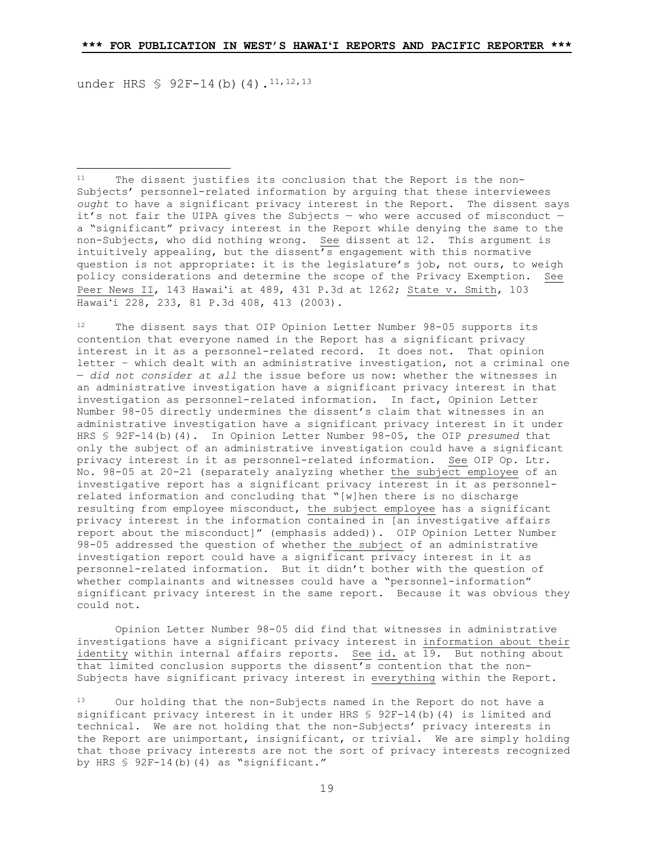under HRS § 92F-14(b)(4).<sup>11,[12](#page-18-1),[13](#page-18-2)</sup>

Ĩ

<span id="page-18-0"></span>The dissent justifies its conclusion that the Report is the non-Subjects' personnel-related information by arguing that these interviewees *ought* to have a significant privacy interest in the Report. The dissent says it's not fair the UIPA gives the Subjects — who were accused of misconduct a "significant" privacy interest in the Report while denying the same to the non-Subjects, who did nothing wrong. See dissent at 12. This argument is intuitively appealing, but the dissent's engagement with this normative question is not appropriate: it is the legislature's job, not ours, to weigh policy considerations and determine the scope of the Privacy Exemption. See Peer News II, 143 Hawai'i at 489, 431 P.3d at 1262; State v. Smith, 103 Hawai'i 228, 233, 81 P.3d 408, 413 (2003).

<span id="page-18-1"></span><sup>12</sup> The dissent says that OIP Opinion Letter Number 98-05 supports its contention that everyone named in the Report has a significant privacy interest in it as a personnel-related record. It does not. That opinion letter – which dealt with an administrative investigation, not a criminal one — *did not consider at all* the issue before us now: whether the witnesses in an administrative investigation have a significant privacy interest in that investigation as personnel-related information. In fact, Opinion Letter Number 98-05 directly undermines the dissent's claim that witnesses in an administrative investigation have a significant privacy interest in it under HRS § 92F-14(b)(4). In Opinion Letter Number 98-05, the OIP *presumed* that only the subject of an administrative investigation could have a significant privacy interest in it as personnel-related information. See OIP Op. Ltr. No. 98-05 at 20-21 (separately analyzing whether the subject employee of an investigative report has a significant privacy interest in it as personnelrelated information and concluding that "[w]hen there is no discharge resulting from employee misconduct, the subject employee has a significant privacy interest in the information contained in [an investigative affairs report about the misconduct]" (emphasis added)). OIP Opinion Letter Number 98-05 addressed the question of whether the subject of an administrative investigation report could have a significant privacy interest in it as personnel-related information. But it didn't bother with the question of whether complainants and witnesses could have a "personnel-information" significant privacy interest in the same report. Because it was obvious they could not.

Opinion Letter Number 98-05 did find that witnesses in administrative investigations have a significant privacy interest in information about their identity within internal affairs reports. See id. at 19. But nothing about that limited conclusion supports the dissent's contention that the non-Subjects have significant privacy interest in everything within the Report.

<span id="page-18-2"></span>13 Our holding that the non-Subjects named in the Report do not have a significant privacy interest in it under HRS § 92F-14(b)(4) is limited and technical. We are not holding that the non-Subjects' privacy interests in the Report are unimportant, insignificant, or trivial. We are simply holding that those privacy interests are not the sort of privacy interests recognized by HRS § 92F-14(b)(4) as "significant."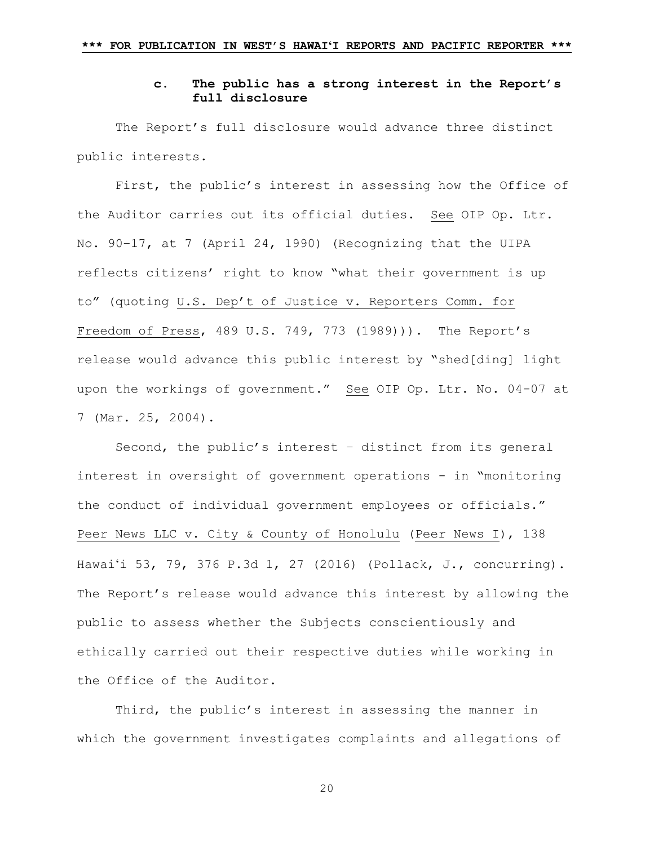## **c. The public has a strong interest in the Report's full disclosure**

The Report's full disclosure would advance three distinct public interests.

First, the public's interest in assessing how the Office of the Auditor carries out its official duties. See OIP Op. Ltr. No. 90–17, at 7 (April 24, 1990) (Recognizing that the UIPA reflects citizens' right to know "what their government is up to" (quoting U.S. Dep't of Justice v. Reporters Comm. for Freedom of Press, 489 U.S. 749, 773 (1989))). The Report's release would advance this public interest by "shed[ding] light upon the workings of government." See OIP Op. Ltr. No. 04-07 at 7 (Mar. 25, 2004).

Second, the public's interest – distinct from its general interest in oversight of government operations - in "monitoring the conduct of individual government employees or officials." Peer News LLC v. City & County of Honolulu (Peer News I), 138 Hawai'i 53, 79, 376 P.3d 1, 27 (2016) (Pollack, J., concurring). The Report's release would advance this interest by allowing the public to assess whether the Subjects conscientiously and ethically carried out their respective duties while working in the Office of the Auditor.

Third, the public's interest in assessing the manner in which the government investigates complaints and allegations of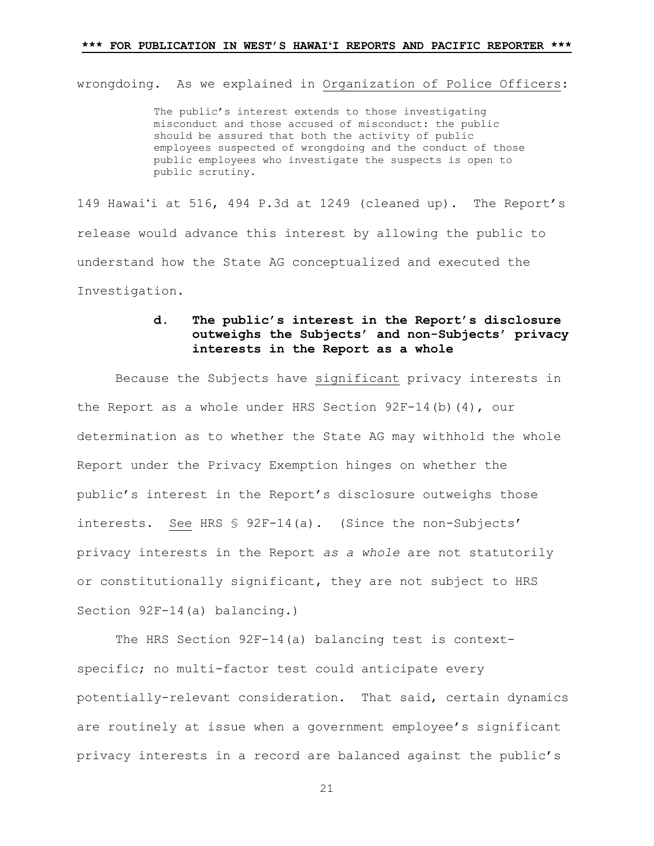wrongdoing. As we explained in Organization of Police Officers:

The public's interest extends to those investigating misconduct and those accused of misconduct: the public should be assured that both the activity of public employees suspected of wrongdoing and the conduct of those public employees who investigate the suspects is open to public scrutiny.

149 Hawai'i at 516, 494 P.3d at 1249 (cleaned up). The Report's release would advance this interest by allowing the public to understand how the State AG conceptualized and executed the Investigation.

# **d. The public's interest in the Report's disclosure outweighs the Subjects' and non-Subjects' privacy interests in the Report as a whole**

Because the Subjects have significant privacy interests in the Report as a whole under HRS Section  $92F-14$ (b)(4), our determination as to whether the State AG may withhold the whole Report under the Privacy Exemption hinges on whether the public's interest in the Report's disclosure outweighs those interests. See HRS § 92F-14(a). (Since the non-Subjects' privacy interests in the Report *as a whole* are not statutorily or constitutionally significant, they are not subject to HRS Section 92F-14(a) balancing.)

The HRS Section 92F-14(a) balancing test is contextspecific; no multi-factor test could anticipate every potentially-relevant consideration. That said, certain dynamics are routinely at issue when a government employee's significant privacy interests in a record are balanced against the public's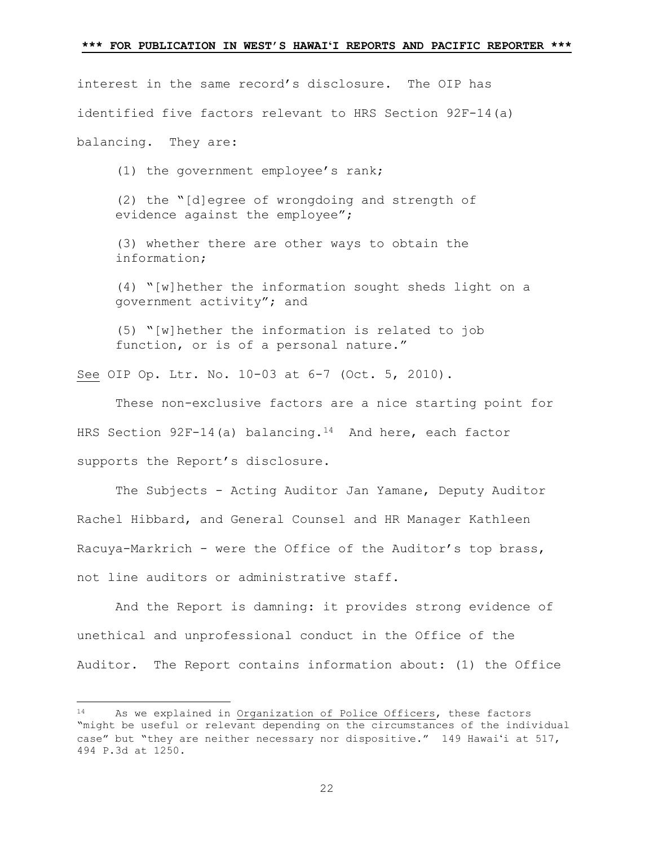interest in the same record's disclosure. The OIP has identified five factors relevant to HRS Section 92F-14(a) balancing. They are:

(1) the government employee's rank;

(2) the "[d]egree of wrongdoing and strength of evidence against the employee";

(3) whether there are other ways to obtain the information;

(4) "[w]hether the information sought sheds light on a government activity"; and

(5) "[w]hether the information is related to job function, or is of a personal nature."

See OIP Op. Ltr. No. 10-03 at 6-7 (Oct. 5, 2010).

 These non-exclusive factors are a nice starting point for HRS Section  $92F-14$  $92F-14$  (a) balancing.<sup>14</sup> And here, each factor supports the Report's disclosure.

 The Subjects - Acting Auditor Jan Yamane, Deputy Auditor Rachel Hibbard, and General Counsel and HR Manager Kathleen Racuya-Markrich - were the Office of the Auditor's top brass, not line auditors or administrative staff.

And the Report is damning: it provides strong evidence of unethical and unprofessional conduct in the Office of the Auditor. The Report contains information about: (1) the Office

Ĩ

<span id="page-21-0"></span>As we explained in Organization of Police Officers, these factors "might be useful or relevant depending on the circumstances of the individual case" but "they are neither necessary nor dispositive." 149 Hawai'i at 517, 494 P.3d at 1250.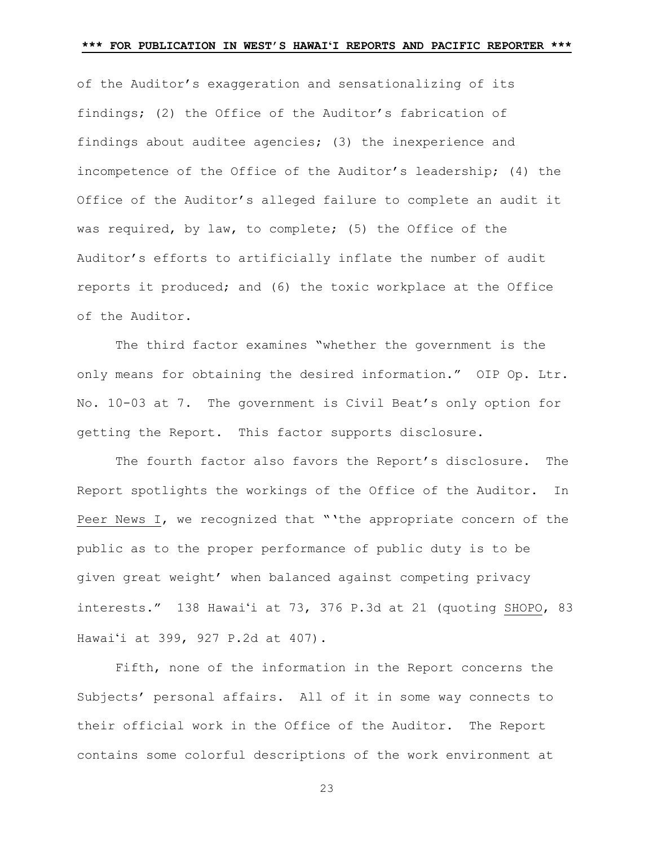of the Auditor's exaggeration and sensationalizing of its findings; (2) the Office of the Auditor's fabrication of findings about auditee agencies; (3) the inexperience and incompetence of the Office of the Auditor's leadership; (4) the Office of the Auditor's alleged failure to complete an audit it was required, by law, to complete; (5) the Office of the Auditor's efforts to artificially inflate the number of audit reports it produced; and (6) the toxic workplace at the Office of the Auditor.

 The third factor examines "whether the government is the only means for obtaining the desired information." OIP Op. Ltr. No. 10-03 at 7. The government is Civil Beat's only option for getting the Report. This factor supports disclosure.

 The fourth factor also favors the Report's disclosure. The Report spotlights the workings of the Office of the Auditor. In Peer News I, we recognized that "'the appropriate concern of the public as to the proper performance of public duty is to be given great weight' when balanced against competing privacy interests." 138 Hawai'i at 73, 376 P.3d at 21 (quoting SHOPO, 83 Hawai'i at 399, 927 P.2d at 407).

 Fifth, none of the information in the Report concerns the Subjects' personal affairs. All of it in some way connects to their official work in the Office of the Auditor. The Report contains some colorful descriptions of the work environment at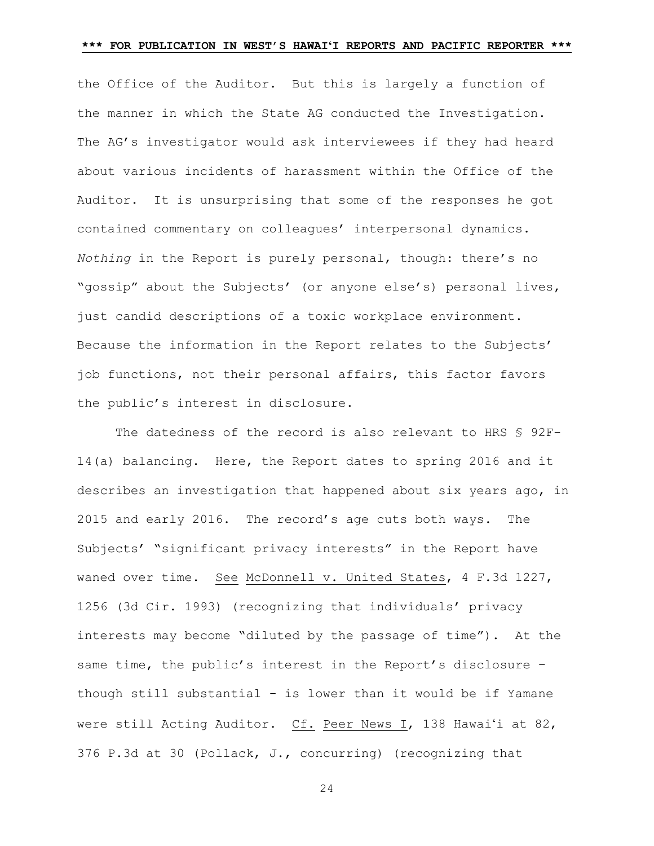the Office of the Auditor. But this is largely a function of the manner in which the State AG conducted the Investigation. The AG's investigator would ask interviewees if they had heard about various incidents of harassment within the Office of the Auditor. It is unsurprising that some of the responses he got contained commentary on colleagues' interpersonal dynamics. *Nothing* in the Report is purely personal, though: there's no "gossip" about the Subjects' (or anyone else's) personal lives, just candid descriptions of a toxic workplace environment. Because the information in the Report relates to the Subjects' job functions, not their personal affairs, this factor favors the public's interest in disclosure.

The datedness of the record is also relevant to HRS § 92F-14(a) balancing. Here, the Report dates to spring 2016 and it describes an investigation that happened about six years ago, in 2015 and early 2016. The record's age cuts both ways. The Subjects' "significant privacy interests" in the Report have waned over time. See McDonnell v. United States, 4 F.3d 1227, 1256 (3d Cir. 1993) (recognizing that individuals' privacy interests may become "diluted by the passage of time"). At the same time, the public's interest in the Report's disclosure – though still substantial - is lower than it would be if Yamane were still Acting Auditor. Cf. Peer News I, 138 Hawai'i at 82, 376 P.3d at 30 (Pollack, J., concurring) (recognizing that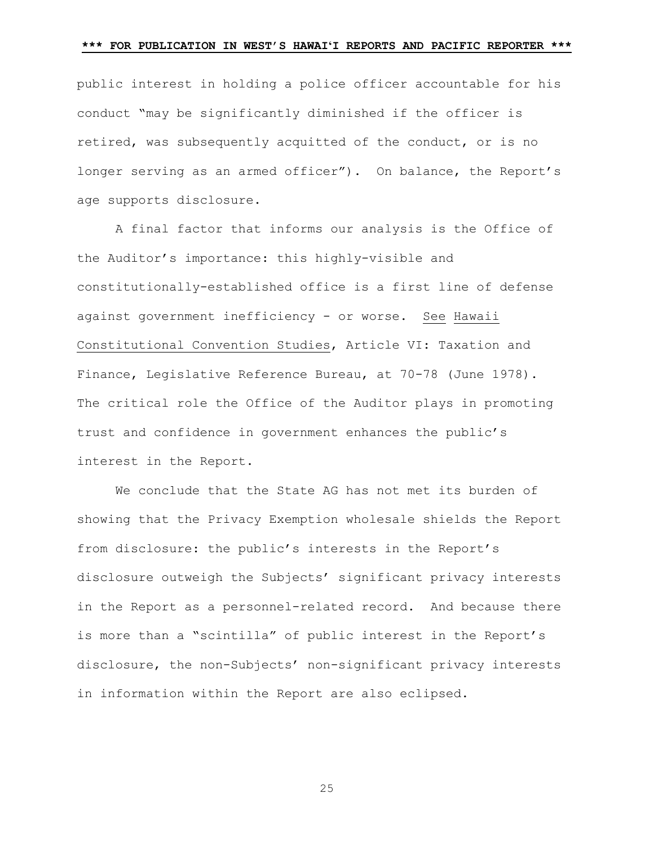public interest in holding a police officer accountable for his conduct "may be significantly diminished if the officer is retired, was subsequently acquitted of the conduct, or is no longer serving as an armed officer"). On balance, the Report's age supports disclosure.

A final factor that informs our analysis is the Office of the Auditor's importance: this highly-visible and constitutionally-established office is a first line of defense against government inefficiency - or worse. See Hawaii Constitutional Convention Studies, Article VI: Taxation and Finance, Legislative Reference Bureau, at 70-78 (June 1978). The critical role the Office of the Auditor plays in promoting trust and confidence in government enhances the public's interest in the Report.

We conclude that the State AG has not met its burden of showing that the Privacy Exemption wholesale shields the Report from disclosure: the public's interests in the Report's disclosure outweigh the Subjects' significant privacy interests in the Report as a personnel-related record. And because there is more than a "scintilla" of public interest in the Report's disclosure, the non-Subjects' non-significant privacy interests in information within the Report are also eclipsed.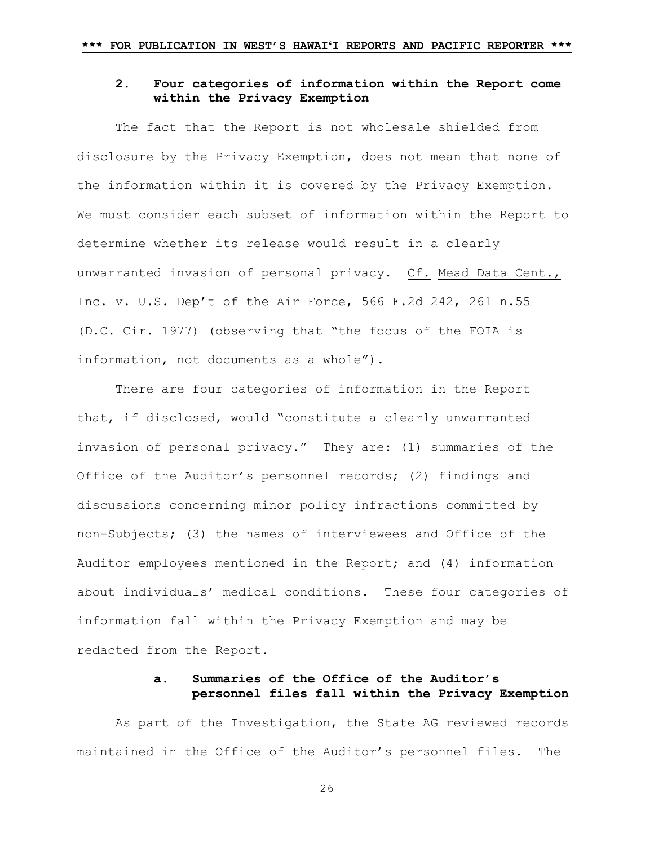# **2. Four categories of information within the Report come within the Privacy Exemption**

The fact that the Report is not wholesale shielded from disclosure by the Privacy Exemption, does not mean that none of the information within it is covered by the Privacy Exemption. We must consider each subset of information within the Report to determine whether its release would result in a clearly unwarranted invasion of personal privacy. Cf. Mead Data Cent., Inc. v. U.S. Dep't of the Air Force, 566 F.2d 242, 261 n.55 (D.C. Cir. 1977) (observing that "the focus of the FOIA is information, not documents as a whole").

There are four categories of information in the Report that, if disclosed, would "constitute a clearly unwarranted invasion of personal privacy." They are: (1) summaries of the Office of the Auditor's personnel records; (2) findings and discussions concerning minor policy infractions committed by non-Subjects; (3) the names of interviewees and Office of the Auditor employees mentioned in the Report; and (4) information about individuals' medical conditions. These four categories of information fall within the Privacy Exemption and may be redacted from the Report.

# **a. Summaries of the Office of the Auditor's personnel files fall within the Privacy Exemption**

As part of the Investigation, the State AG reviewed records maintained in the Office of the Auditor's personnel files. The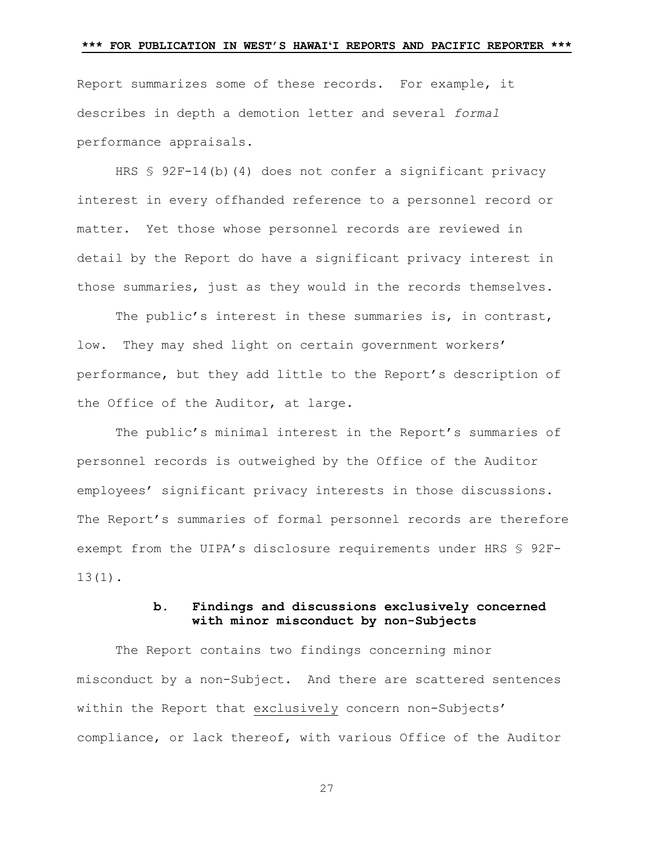Report summarizes some of these records. For example, it describes in depth a demotion letter and several *formal*  performance appraisals.

HRS § 92F-14(b)(4) does not confer a significant privacy interest in every offhanded reference to a personnel record or matter. Yet those whose personnel records are reviewed in detail by the Report do have a significant privacy interest in those summaries, just as they would in the records themselves.

The public's interest in these summaries is, in contrast, low. They may shed light on certain government workers' performance, but they add little to the Report's description of the Office of the Auditor, at large.

The public's minimal interest in the Report's summaries of personnel records is outweighed by the Office of the Auditor employees' significant privacy interests in those discussions. The Report's summaries of formal personnel records are therefore exempt from the UIPA's disclosure requirements under HRS § 92F-13(1).

## **b. Findings and discussions exclusively concerned with minor misconduct by non-Subjects**

The Report contains two findings concerning minor misconduct by a non-Subject. And there are scattered sentences within the Report that exclusively concern non-Subjects' compliance, or lack thereof, with various Office of the Auditor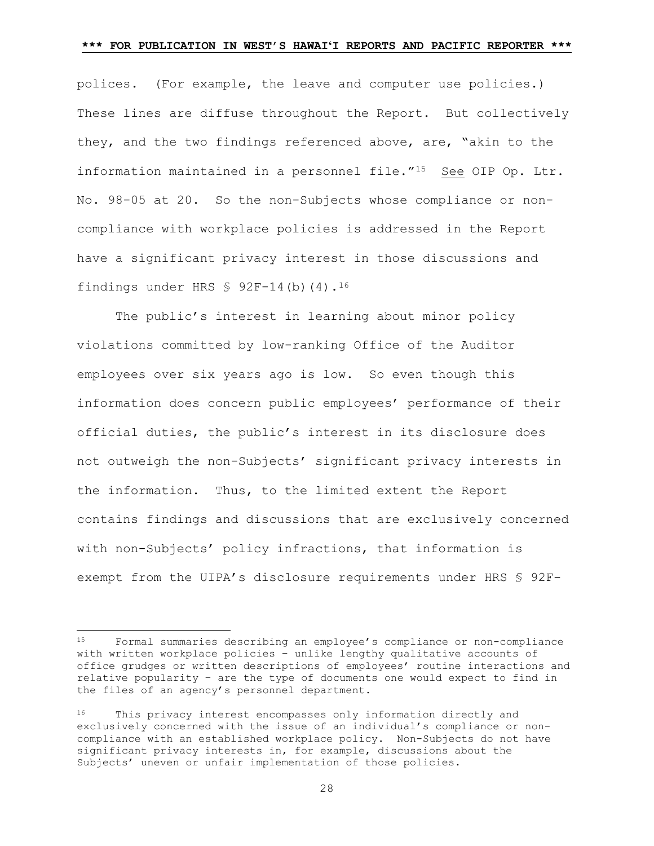polices. (For example, the leave and computer use policies.) These lines are diffuse throughout the Report. But collectively they, and the two findings referenced above, are, "akin to the information maintained in a personnel file."[15](#page-27-0) See OIP Op. Ltr. No. 98-05 at 20. So the non-Subjects whose compliance or noncompliance with workplace policies is addressed in the Report have a significant privacy interest in those discussions and findings under HRS  $$ 92F-14(b) (4).$ <sup>[16](#page-27-1)</sup>

The public's interest in learning about minor policy violations committed by low-ranking Office of the Auditor employees over six years ago is low. So even though this information does concern public employees' performance of their official duties, the public's interest in its disclosure does not outweigh the non-Subjects' significant privacy interests in the information. Thus, to the limited extent the Report contains findings and discussions that are exclusively concerned with non-Subjects' policy infractions, that information is exempt from the UIPA's disclosure requirements under HRS § 92F-

<span id="page-27-0"></span><sup>15</sup> <sup>15</sup> Formal summaries describing an employee's compliance or non-compliance with written workplace policies – unlike lengthy qualitative accounts of office grudges or written descriptions of employees' routine interactions and relative popularity – are the type of documents one would expect to find in the files of an agency's personnel department.

<span id="page-27-1"></span><sup>16</sup> This privacy interest encompasses only information directly and exclusively concerned with the issue of an individual's compliance or noncompliance with an established workplace policy. Non-Subjects do not have significant privacy interests in, for example, discussions about the Subjects' uneven or unfair implementation of those policies.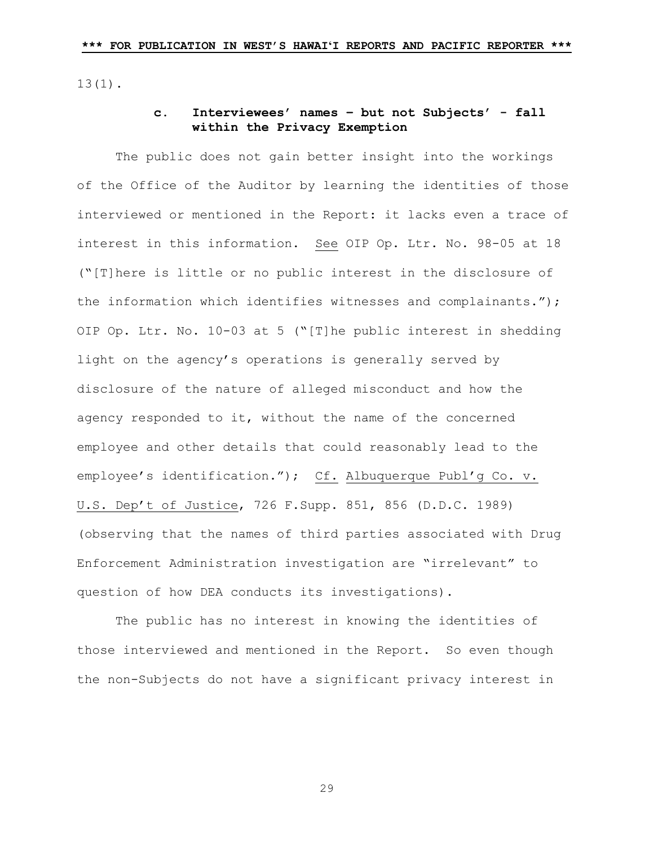13(1).

# **c. Interviewees' names – but not Subjects' - fall within the Privacy Exemption**

The public does not gain better insight into the workings of the Office of the Auditor by learning the identities of those interviewed or mentioned in the Report: it lacks even a trace of interest in this information. See OIP Op. Ltr. No. 98-05 at 18 ("[T]here is little or no public interest in the disclosure of the information which identifies witnesses and complainants."); OIP Op. Ltr. No. 10-03 at 5 ("[T]he public interest in shedding light on the agency's operations is generally served by disclosure of the nature of alleged misconduct and how the agency responded to it, without the name of the concerned employee and other details that could reasonably lead to the employee's identification."); Cf. Albuquerque Publ'g Co. v. U.S. Dep't of Justice, 726 F.Supp. 851, 856 (D.D.C. 1989) (observing that the names of third parties associated with Drug Enforcement Administration investigation are "irrelevant" to question of how DEA conducts its investigations).

The public has no interest in knowing the identities of those interviewed and mentioned in the Report. So even though the non-Subjects do not have a significant privacy interest in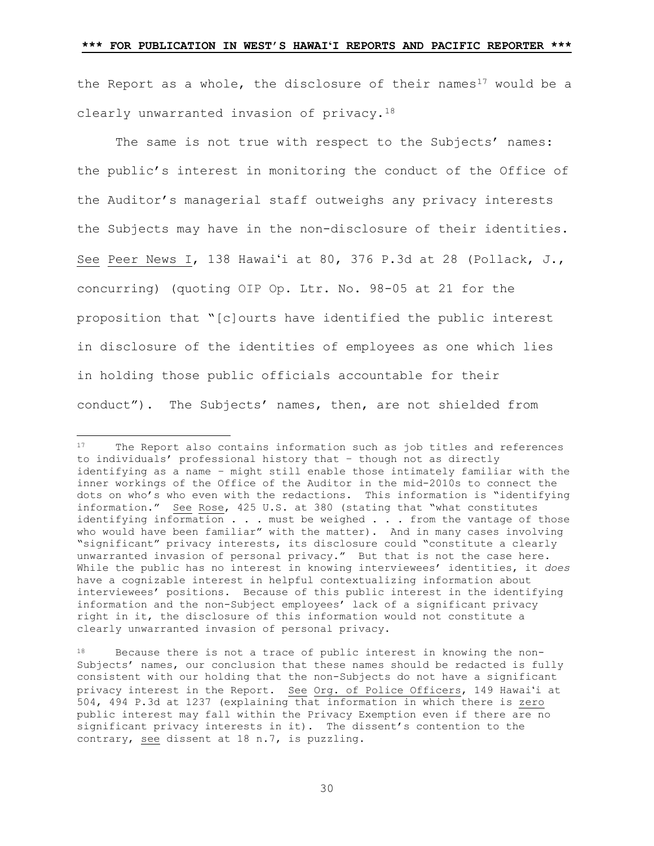the Report as a whole, the disclosure of their names<sup>[17](#page-29-0)</sup> would be a clearly unwarranted invasion of privacy[.18](#page-29-1)

The same is not true with respect to the Subjects' names: the public's interest in monitoring the conduct of the Office of the Auditor's managerial staff outweighs any privacy interests the Subjects may have in the non-disclosure of their identities. See Peer News I, 138 Hawai'i at 80, 376 P.3d at 28 (Pollack, J., concurring) (quoting OIP Op. Ltr. No. 98-05 at 21 for the proposition that "[c]ourts have identified the public interest in disclosure of the identities of employees as one which lies in holding those public officials accountable for their conduct"). The Subjects' names, then, are not shielded from

<span id="page-29-0"></span> $17$ 17 The Report also contains information such as job titles and references to individuals' professional history that – though not as directly identifying as a name – might still enable those intimately familiar with the inner workings of the Office of the Auditor in the mid-2010s to connect the dots on who's who even with the redactions. This information is "identifying information." See Rose, 425 U.S. at 380 (stating that "what constitutes identifying information . . . must be weighed . . . from the vantage of those who would have been familiar" with the matter). And in many cases involving "significant" privacy interests, its disclosure could "constitute a clearly unwarranted invasion of personal privacy." But that is not the case here. While the public has no interest in knowing interviewees' identities, it *does* have a cognizable interest in helpful contextualizing information about interviewees' positions. Because of this public interest in the identifying information and the non-Subject employees' lack of a significant privacy right in it, the disclosure of this information would not constitute a clearly unwarranted invasion of personal privacy.

<span id="page-29-1"></span><sup>18</sup> Because there is not a trace of public interest in knowing the non-Subjects' names, our conclusion that these names should be redacted is fully consistent with our holding that the non-Subjects do not have a significant privacy interest in the Report. See Org. of Police Officers, 149 Hawai'i at 504, 494 P.3d at 1237 (explaining that information in which there is zero public interest may fall within the Privacy Exemption even if there are no significant privacy interests in it). The dissent's contention to the contrary, see dissent at 18 n.7, is puzzling.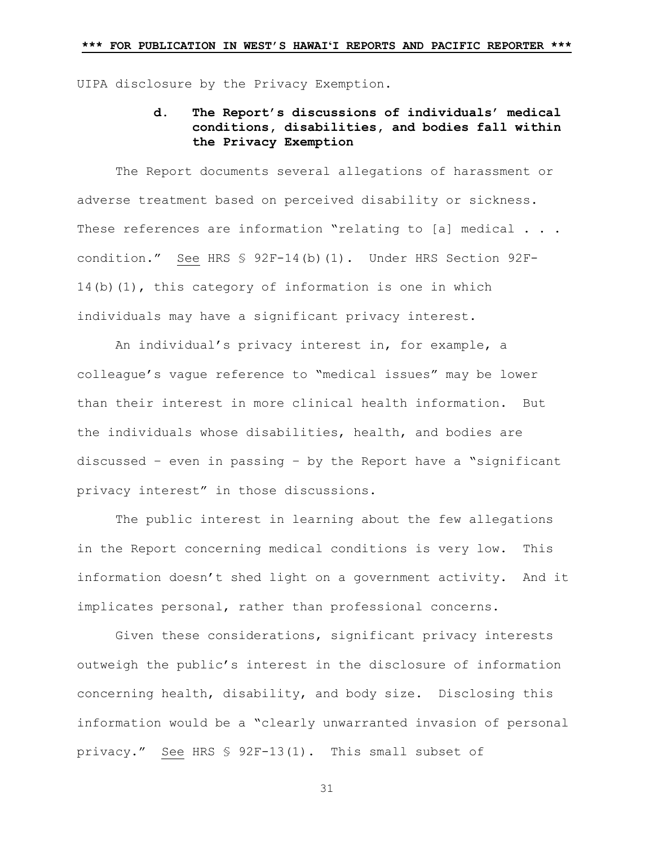UIPA disclosure by the Privacy Exemption.

# **d. The Report's discussions of individuals' medical conditions, disabilities, and bodies fall within the Privacy Exemption**

The Report documents several allegations of harassment or adverse treatment based on perceived disability or sickness. These references are information "relating to [a] medical . . . condition." See HRS § 92F-14(b)(1). Under HRS Section 92F-14(b)(1), this category of information is one in which individuals may have a significant privacy interest.

An individual's privacy interest in, for example, a colleague's vague reference to "medical issues" may be lower than their interest in more clinical health information. But the individuals whose disabilities, health, and bodies are discussed – even in passing – by the Report have a "significant privacy interest" in those discussions.

The public interest in learning about the few allegations in the Report concerning medical conditions is very low. This information doesn't shed light on a government activity. And it implicates personal, rather than professional concerns.

Given these considerations, significant privacy interests outweigh the public's interest in the disclosure of information concerning health, disability, and body size. Disclosing this information would be a "clearly unwarranted invasion of personal privacy." See HRS § 92F-13(1). This small subset of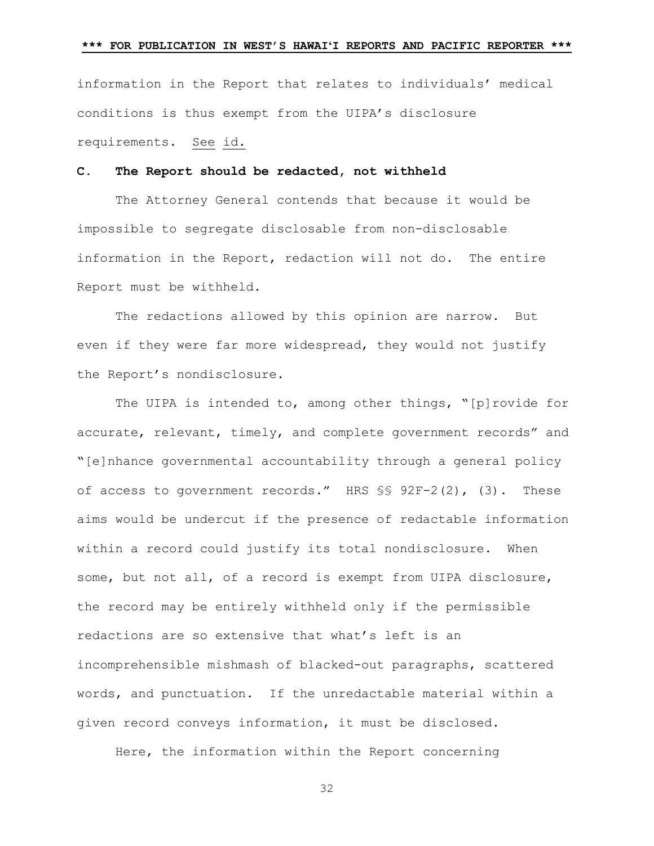information in the Report that relates to individuals' medical conditions is thus exempt from the UIPA's disclosure requirements. See id.

## **C. The Report should be redacted, not withheld**

The Attorney General contends that because it would be impossible to segregate disclosable from non-disclosable information in the Report, redaction will not do. The entire Report must be withheld.

The redactions allowed by this opinion are narrow. But even if they were far more widespread, they would not justify the Report's nondisclosure.

The UIPA is intended to, among other things, "[p]rovide for accurate, relevant, timely, and complete government records" and "[e]nhance governmental accountability through a general policy of access to government records." HRS §§ 92F-2(2), (3). These aims would be undercut if the presence of redactable information within a record could justify its total nondisclosure. When some, but not all, of a record is exempt from UIPA disclosure, the record may be entirely withheld only if the permissible redactions are so extensive that what's left is an incomprehensible mishmash of blacked-out paragraphs, scattered words, and punctuation. If the unredactable material within a given record conveys information, it must be disclosed.

Here, the information within the Report concerning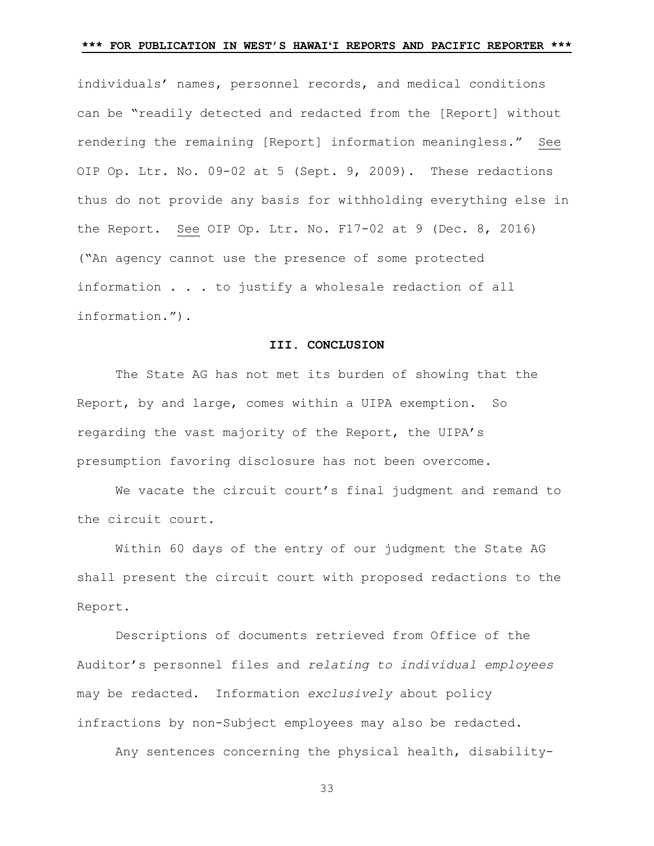individuals' names, personnel records, and medical conditions can be "readily detected and redacted from the [Report] without rendering the remaining [Report] information meaningless." See OIP Op. Ltr. No. 09-02 at 5 (Sept. 9, 2009). These redactions thus do not provide any basis for withholding everything else in the Report. See OIP Op. Ltr. No. F17-02 at 9 (Dec. 8, 2016) ("An agency cannot use the presence of some protected information . . . to justify a wholesale redaction of all information.").

#### **III. CONCLUSION**

The State AG has not met its burden of showing that the Report, by and large, comes within a UIPA exemption. So regarding the vast majority of the Report, the UIPA's presumption favoring disclosure has not been overcome.

We vacate the circuit court's final judgment and remand to the circuit court.

Within 60 days of the entry of our judgment the State AG shall present the circuit court with proposed redactions to the Report.

Descriptions of documents retrieved from Office of the Auditor's personnel files and *relating to individual employees* may be redacted. Information *exclusively* about policy infractions by non-Subject employees may also be redacted.

Any sentences concerning the physical health, disability-